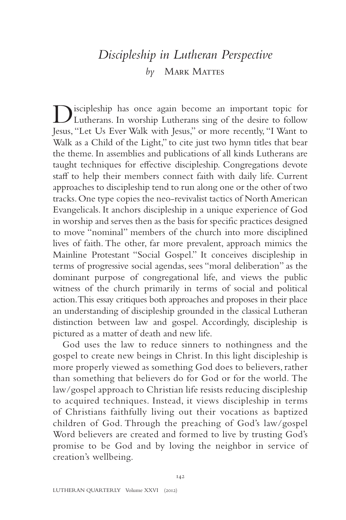# *Discipleship in Lutheran Perspective by* Mark Mattes

Discipleship has once again become an important topic for Lutherans. In worship Lutherans sing of the desire to follow Jesus, "Let Us Ever Walk with Jesus," or more recently, "I Want to Walk as a Child of the Light," to cite just two hymn titles that bear the theme. In assemblies and publications of all kinds Lutherans are taught techniques for effective discipleship. Congregations devote staff to help their members connect faith with daily life. Current approaches to discipleship tend to run along one or the other of two tracks. One type copies the neo-revivalist tactics of North American Evangelicals. It anchors discipleship in a unique experience of God in worship and serves then as the basis for specific practices designed to move "nominal" members of the church into more disciplined lives of faith. The other, far more prevalent, approach mimics the Mainline Protestant "Social Gospel." It conceives discipleship in terms of progressive social agendas, sees "moral deliberation" as the dominant purpose of congregational life, and views the public witness of the church primarily in terms of social and political action. This essay critiques both approaches and proposes in their place an understanding of discipleship grounded in the classical Lutheran distinction between law and gospel. Accordingly, discipleship is pictured as a matter of death and new life.

God uses the law to reduce sinners to nothingness and the gospel to create new beings in Christ. In this light discipleship is more properly viewed as something God does to believers, rather than something that believers do for God or for the world. The law/gospel approach to Christian life resists reducing discipleship to acquired techniques. Instead, it views discipleship in terms of Christians faithfully living out their vocations as baptized children of God. Through the preaching of God's law/gospel Word believers are created and formed to live by trusting God's promise to be God and by loving the neighbor in service of creation's wellbeing.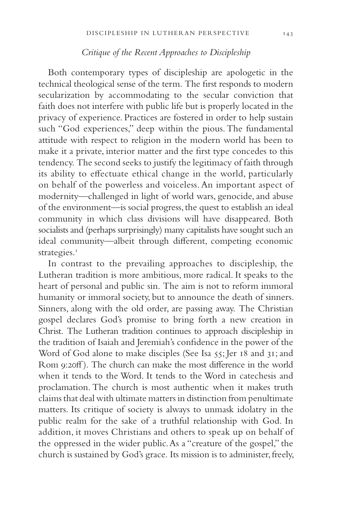# *Critique of the Recent Approaches to Discipleship*

Both contemporary types of discipleship are apologetic in the technical theological sense of the term. The first responds to modern secularization by accommodating to the secular conviction that faith does not interfere with public life but is properly located in the privacy of experience. Practices are fostered in order to help sustain such "God experiences," deep within the pious. The fundamental attitude with respect to religion in the modern world has been to make it a private, interior matter and the first type concedes to this tendency. The second seeks to justify the legitimacy of faith through its ability to effectuate ethical change in the world, particularly on behalf of the powerless and voiceless. An important aspect of modernity—challenged in light of world wars, genocide, and abuse of the environment—is social progress, the quest to establish an ideal community in which class divisions will have disappeared. Both socialists and (perhaps surprisingly) many capitalists have sought such an ideal community—albeit through different, competing economic strategies.<sup>1</sup>

In contrast to the prevailing approaches to discipleship, the Lutheran tradition is more ambitious, more radical. It speaks to the heart of personal and public sin. The aim is not to reform immoral humanity or immoral society, but to announce the death of sinners. Sinners, along with the old order, are passing away. The Christian gospel declares God's promise to bring forth a new creation in Christ. The Lutheran tradition continues to approach discipleship in the tradition of Isaiah and Jeremiah's confidence in the power of the Word of God alone to make disciples (See Isa 55; Jer 18 and 31; and Rom 9:20ff). The church can make the most difference in the world when it tends to the Word. It tends to the Word in catechesis and proclamation. The church is most authentic when it makes truth claims that deal with ultimate matters in distinction from penultimate matters. Its critique of society is always to unmask idolatry in the public realm for the sake of a truthful relationship with God. In addition, it moves Christians and others to speak up on behalf of the oppressed in the wider public. As a "creature of the gospel," the church is sustained by God's grace. Its mission is to administer, freely,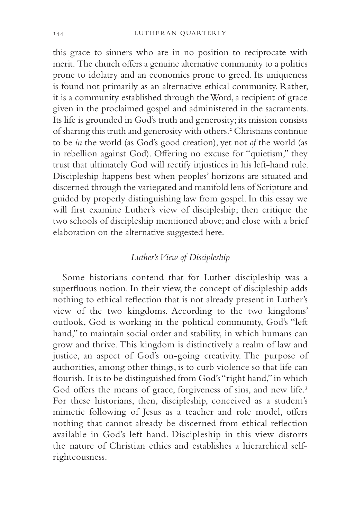this grace to sinners who are in no position to reciprocate with merit. The church offers a genuine alternative community to a politics prone to idolatry and an economics prone to greed. Its uniqueness is found not primarily as an alternative ethical community. Rather, it is a community established through the Word, a recipient of grace given in the proclaimed gospel and administered in the sacraments. Its life is grounded in God's truth and generosity; its mission consists of sharing this truth and generosity with others.<sup>2</sup> Christians continue to be *in* the world (as God's good creation), yet not *of* the world (as in rebellion against God). Offering no excuse for "quietism," they trust that ultimately God will rectify injustices in his left-hand rule. Discipleship happens best when peoples' horizons are situated and discerned through the variegated and manifold lens of Scripture and guided by properly distinguishing law from gospel. In this essay we will first examine Luther's view of discipleship; then critique the two schools of discipleship mentioned above; and close with a brief elaboration on the alternative suggested here.

# *Luther's View of Discipleship*

Some historians contend that for Luther discipleship was a superfluous notion. In their view, the concept of discipleship adds nothing to ethical reflection that is not already present in Luther's view of the two kingdoms. According to the two kingdoms' outlook, God is working in the political community, God's "left hand," to maintain social order and stability, in which humans can grow and thrive. This kingdom is distinctively a realm of law and justice, an aspect of God's on-going creativity. The purpose of authorities, among other things, is to curb violence so that life can flourish. It is to be distinguished from God's "right hand," in which God offers the means of grace, forgiveness of sins, and new life.<sup>3</sup> For these historians, then, discipleship, conceived as a student's mimetic following of Jesus as a teacher and role model, offers nothing that cannot already be discerned from ethical reflection available in God's left hand. Discipleship in this view distorts the nature of Christian ethics and establishes a hierarchical selfrighteousness.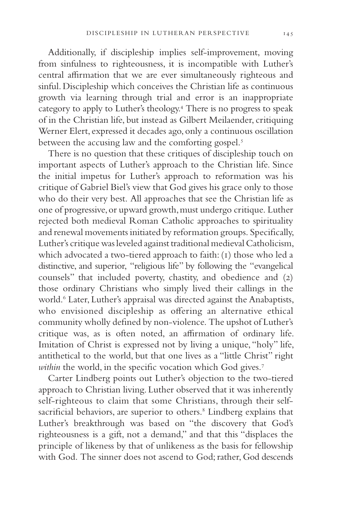Additionally, if discipleship implies self-improvement, moving from sinfulness to righteousness, it is incompatible with Luther's central affirmation that we are ever simultaneously righteous and sinful. Discipleship which conceives the Christian life as continuous growth via learning through trial and error is an inappropriate category to apply to Luther's theology.4 There is no progress to speak of in the Christian life, but instead as Gilbert Meilaender, critiquing Werner Elert, expressed it decades ago, only a continuous oscillation between the accusing law and the comforting gospel.<sup>5</sup>

There is no question that these critiques of discipleship touch on important aspects of Luther's approach to the Christian life. Since the initial impetus for Luther's approach to reformation was his critique of Gabriel Biel's view that God gives his grace only to those who do their very best. All approaches that see the Christian life as one of progressive, or upward growth, must undergo critique. Luther rejected both medieval Roman Catholic approaches to spirituality and renewal movements initiated by reformation groups. Specifically, Luther's critique was leveled against traditional medieval Catholicism, which advocated a two-tiered approach to faith: (1) those who led a distinctive, and superior, "religious life" by following the "evangelical counsels" that included poverty, chastity, and obedience and (2) those ordinary Christians who simply lived their callings in the world.<sup>6</sup> Later, Luther's appraisal was directed against the Anabaptists, who envisioned discipleship as offering an alternative ethical community wholly defined by non-violence. The upshot of Luther's critique was, as is often noted, an affirmation of ordinary life. Imitation of Christ is expressed not by living a unique, "holy" life, antithetical to the world, but that one lives as a "little Christ" right *within* the world, in the specific vocation which God gives.<sup>7</sup>

Carter Lindberg points out Luther's objection to the two-tiered approach to Christian living. Luther observed that it was inherently self-righteous to claim that some Christians, through their selfsacrificial behaviors, are superior to others.<sup>8</sup> Lindberg explains that Luther's breakthrough was based on "the discovery that God's righteousness is a gift, not a demand," and that this "displaces the principle of likeness by that of unlikeness as the basis for fellowship with God. The sinner does not ascend to God; rather, God descends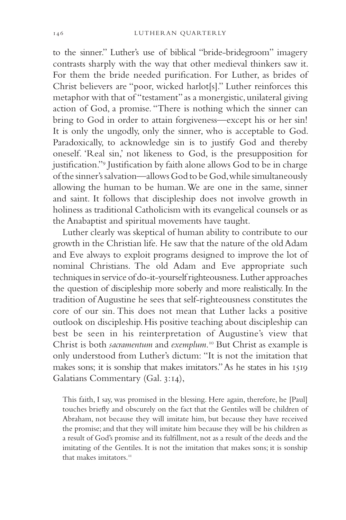to the sinner." Luther's use of biblical "bride-bridegroom" imagery contrasts sharply with the way that other medieval thinkers saw it. For them the bride needed purification. For Luther, as brides of Christ believers are "poor, wicked harlot[s]." Luther reinforces this metaphor with that of "testament" as a monergistic, unilateral giving action of God, a promise. "There is nothing which the sinner can bring to God in order to attain forgiveness—except his or her sin! It is only the ungodly, only the sinner, who is acceptable to God. Paradoxically, to acknowledge sin is to justify God and thereby oneself. 'Real sin,' not likeness to God, is the presupposition for justification."<sup>9</sup> Justification by faith alone allows God to be in charge of the sinner's salvation—allows God to be God, while simultaneously allowing the human to be human. We are one in the same, sinner and saint. It follows that discipleship does not involve growth in holiness as traditional Catholicism with its evangelical counsels or as the Anabaptist and spiritual movements have taught.

Luther clearly was skeptical of human ability to contribute to our growth in the Christian life. He saw that the nature of the old Adam and Eve always to exploit programs designed to improve the lot of nominal Christians. The old Adam and Eve appropriate such techniques in service of do-it-yourself righteousness. Luther approaches the question of discipleship more soberly and more realistically. In the tradition of Augustine he sees that self-righteousness constitutes the core of our sin. This does not mean that Luther lacks a positive outlook on discipleship. His positive teaching about discipleship can best be seen in his reinterpretation of Augustine's view that Christ is both *sacramentum* and *exemplum*. 10 But Christ as example is only understood from Luther's dictum: "It is not the imitation that makes sons; it is sonship that makes imitators." As he states in his 1519 Galatians Commentary (Gal. 3:14),

This faith, I say, was promised in the blessing. Here again, therefore, he [Paul] touches briefly and obscurely on the fact that the Gentiles will be children of Abraham, not because they will imitate him, but because they have received the promise; and that they will imitate him because they will be his children as a result of God's promise and its fulfillment, not as a result of the deeds and the imitating of the Gentiles. It is not the imitation that makes sons; it is sonship that makes imitators.<sup>11</sup>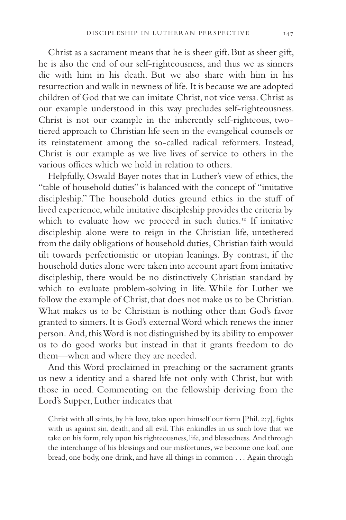Christ as a sacrament means that he is sheer gift. But as sheer gift, he is also the end of our self-righteousness, and thus we as sinners die with him in his death. But we also share with him in his resurrection and walk in newness of life. It is because we are adopted children of God that we can imitate Christ, not vice versa. Christ as our example understood in this way precludes self-righteousness. Christ is not our example in the inherently self-righteous, twotiered approach to Christian life seen in the evangelical counsels or its reinstatement among the so-called radical reformers. Instead, Christ is our example as we live lives of service to others in the various offices which we hold in relation to others.

Helpfully, Oswald Bayer notes that in Luther's view of ethics, the "table of household duties" is balanced with the concept of "imitative discipleship." The household duties ground ethics in the stuff of lived experience, while imitative discipleship provides the criteria by which to evaluate how we proceed in such duties.<sup>12</sup> If imitative discipleship alone were to reign in the Christian life, untethered from the daily obligations of household duties, Christian faith would tilt towards perfectionistic or utopian leanings. By contrast, if the household duties alone were taken into account apart from imitative discipleship, there would be no distinctively Christian standard by which to evaluate problem-solving in life. While for Luther we follow the example of Christ, that does not make us to be Christian. What makes us to be Christian is nothing other than God's favor granted to sinners. It is God's external Word which renews the inner person. And, this Word is not distinguished by its ability to empower us to do good works but instead in that it grants freedom to do them—when and where they are needed.

And this Word proclaimed in preaching or the sacrament grants us new a identity and a shared life not only with Christ, but with those in need. Commenting on the fellowship deriving from the Lord's Supper, Luther indicates that

Christ with all saints, by his love, takes upon himself our form [Phil. 2:7], fights with us against sin, death, and all evil. This enkindles in us such love that we take on his form, rely upon his righteousness, life, and blessedness. And through the interchange of his blessings and our misfortunes, we become one loaf, one bread, one body, one drink, and have all things in common . . . Again through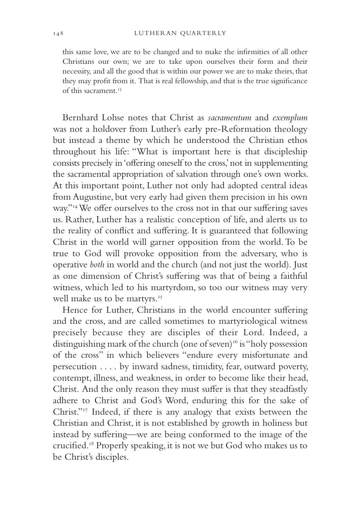this same love, we are to be changed and to make the infirmities of all other Christians our own; we are to take upon ourselves their form and their necessity, and all the good that is within our power we are to make theirs, that they may profit from it. That is real fellowship, and that is the true significance of this sacrament.<sup>13</sup>

Bernhard Lohse notes that Christ as *sacramentum* and *exemplum* was not a holdover from Luther's early pre-Reformation theology but instead a theme by which he understood the Christian ethos throughout his life: "What is important here is that discipleship consists precisely in 'offering oneself to the cross,' not in supplementing the sacramental appropriation of salvation through one's own works. At this important point, Luther not only had adopted central ideas from Augustine, but very early had given them precision in his own way."<sup>14</sup> We offer ourselves to the cross not in that our suffering saves us. Rather, Luther has a realistic conception of life, and alerts us to the reality of conflict and suffering. It is guaranteed that following Christ in the world will garner opposition from the world. To be true to God will provoke opposition from the adversary, who is operative *both* in world and the church (and not just the world). Just as one dimension of Christ's suffering was that of being a faithful witness, which led to his martyrdom, so too our witness may very well make us to be martyrs.<sup>15</sup>

Hence for Luther, Christians in the world encounter suffering and the cross, and are called sometimes to martyriological witness precisely because they are disciples of their Lord. Indeed, a distinguishing mark of the church (one of seven)<sup>16</sup> is "holy possession of the cross" in which believers "endure every misfortunate and persecution . . . . by inward sadness, timidity, fear, outward poverty, contempt, illness, and weakness, in order to become like their head, Christ. And the only reason they must suffer is that they steadfastly adhere to Christ and God's Word, enduring this for the sake of Christ."17 Indeed, if there is any analogy that exists between the Christian and Christ, it is not established by growth in holiness but instead by suffering—we are being conformed to the image of the crucified.<sup>18</sup> Properly speaking, it is not we but God who makes us to be Christ's disciples.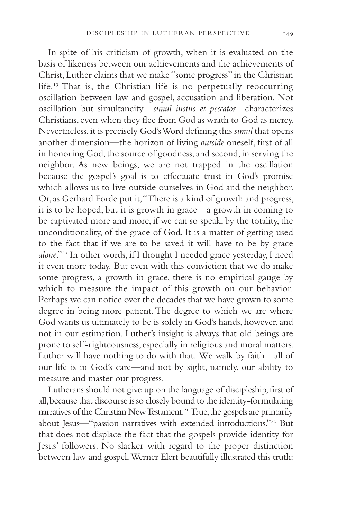In spite of his criticism of growth, when it is evaluated on the basis of likeness between our achievements and the achievements of Christ, Luther claims that we make "some progress" in the Christian life.19 That is, the Christian life is no perpetually reoccurring oscillation between law and gospel, accusation and liberation. Not oscillation but simultaneity—*simul iustus et peccator*—characterizes Christians, even when they flee from God as wrath to God as mercy. Nevertheless, it is precisely God's Word defining this *simul* that opens another dimension—the horizon of living *outside* oneself, first of all in honoring God, the source of goodness, and second, in serving the neighbor. As new beings, we are not trapped in the oscillation because the gospel's goal is to effectuate trust in God's promise which allows us to live outside ourselves in God and the neighbor. Or, as Gerhard Forde put it, "There is a kind of growth and progress, it is to be hoped, but it is growth in grace—a growth in coming to be captivated more and more, if we can so speak, by the totality, the unconditionality, of the grace of God. It is a matter of getting used to the fact that if we are to be saved it will have to be by grace *alone*."20 In other words, if I thought I needed grace yesterday, I need it even more today. But even with this conviction that we do make some progress, a growth in grace, there is no empirical gauge by which to measure the impact of this growth on our behavior. Perhaps we can notice over the decades that we have grown to some degree in being more patient. The degree to which we are where God wants us ultimately to be is solely in God's hands, however, and not in our estimation. Luther's insight is always that old beings are prone to self-righteousness, especially in religious and moral matters. Luther will have nothing to do with that. We walk by faith—all of our life is in God's care—and not by sight, namely, our ability to measure and master our progress.

Lutherans should not give up on the language of discipleship, first of all, because that discourse is so closely bound to the identity-formulating narratives of the Christian New Testament.<sup>21</sup> True, the gospels are primarily about Jesus—"passion narratives with extended introductions."<sup>22</sup> But that does not displace the fact that the gospels provide identity for Jesus' followers. No slacker with regard to the proper distinction between law and gospel, Werner Elert beautifully illustrated this truth: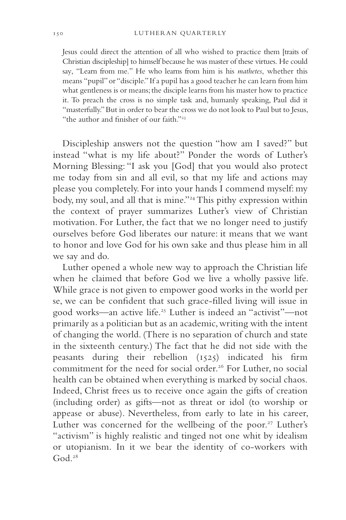Jesus could direct the attention of all who wished to practice them [traits of Christian discipleship] to himself because he was master of these virtues. He could say, "Learn from me." He who learns from him is his *mathetes*, whether this means "pupil" or "disciple." If a pupil has a good teacher he can learn from him what gentleness is or means; the disciple learns from his master how to practice it. To preach the cross is no simple task and, humanly speaking, Paul did it "masterfully." But in order to bear the cross we do not look to Paul but to Jesus, "the author and finisher of our faith."<sup>23</sup>

Discipleship answers not the question "how am I saved?" but instead "what is my life about?" Ponder the words of Luther's Morning Blessing: "I ask you [God] that you would also protect me today from sin and all evil, so that my life and actions may please you completely. For into your hands I commend myself: my body, my soul, and all that is mine."24 This pithy expression within the context of prayer summarizes Luther's view of Christian motivation. For Luther, the fact that we no longer need to justify ourselves before God liberates our nature: it means that we want to honor and love God for his own sake and thus please him in all we say and do.

Luther opened a whole new way to approach the Christian life when he claimed that before God we live a wholly passive life. While grace is not given to empower good works in the world per se, we can be confident that such grace-filled living will issue in good works—an active life.25 Luther is indeed an "activist"—not primarily as a politician but as an academic, writing with the intent of changing the world. (There is no separation of church and state in the sixteenth century.) The fact that he did not side with the peasants during their rebellion  $(1525)$  indicated his firm commitment for the need for social order.<sup>26</sup> For Luther, no social health can be obtained when everything is marked by social chaos. Indeed, Christ frees us to receive once again the gifts of creation (including order) as gifts—not as threat or idol (to worship or appease or abuse). Nevertheless, from early to late in his career, Luther was concerned for the wellbeing of the poor.<sup>27</sup> Luther's "activism" is highly realistic and tinged not one whit by idealism or utopianism. In it we bear the identity of co-workers with God $28$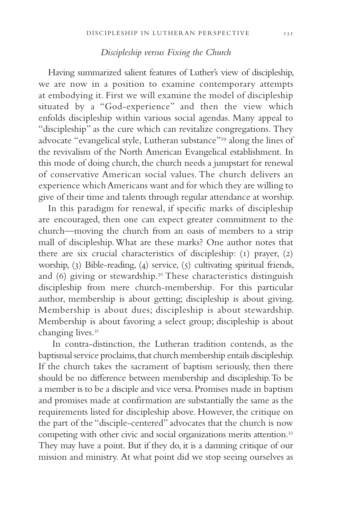#### *Discipleship versus Fixing the Church*

Having summarized salient features of Luther's view of discipleship, we are now in a position to examine contemporary attempts at embodying it. First we will examine the model of discipleship situated by a "God-experience" and then the view which enfolds discipleship within various social agendas. Many appeal to "discipleship" as the cure which can revitalize congregations. They advocate "evangelical style, Lutheran substance"29 along the lines of the revivalism of the North American Evangelical establishment. In this mode of doing church, the church needs a jumpstart for renewal of conservative American social values. The church delivers an experience which Americans want and for which they are willing to give of their time and talents through regular attendance at worship.

In this paradigm for renewal, if specific marks of discipleship are encouraged, then one can expect greater commitment to the church—moving the church from an oasis of members to a strip mall of discipleship. What are these marks? One author notes that there are six crucial characteristics of discipleship: (1) prayer, (2) worship, (3) Bible-reading, (4) service, (5) cultivating spiritual friends, and (6) giving or stewardship.<sup>30</sup> These characteristics distinguish discipleship from mere church-membership*.* For this particular author, membership is about getting; discipleship is about giving. Membership is about dues; discipleship is about stewardship. Membership is about favoring a select group; discipleship is about changing lives.<sup>31</sup>

 In contra-distinction, the Lutheran tradition contends, as the baptismal service proclaims, that church membership entails discipleship. If the church takes the sacrament of baptism seriously, then there should be no difference between membership and discipleship. To be a member is to be a disciple and vice versa. Promises made in baptism and promises made at confirmation are substantially the same as the requirements listed for discipleship above. However, the critique on the part of the "disciple-centered" advocates that the church is now competing with other civic and social organizations merits attention.<sup>32</sup> They may have a point. But if they do, it is a damning critique of our mission and ministry. At what point did we stop seeing ourselves as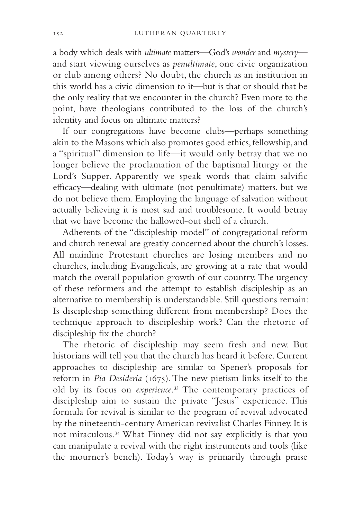a body which deals with *ultimate* matters—God's *wonder* and *mystery* and start viewing ourselves as *penultimate*, one civic organization or club among others? No doubt, the church as an institution in this world has a civic dimension to it—but is that or should that be the only reality that we encounter in the church? Even more to the point, have theologians contributed to the loss of the church's identity and focus on ultimate matters?

If our congregations have become clubs—perhaps something akin to the Masons which also promotes good ethics, fellowship, and a "spiritual" dimension to life—it would only betray that we no longer believe the proclamation of the baptismal liturgy or the Lord's Supper. Apparently we speak words that claim salvific efficacy—dealing with ultimate (not penultimate) matters, but we do not believe them. Employing the language of salvation without actually believing it is most sad and troublesome. It would betray that we have become the hallowed-out shell of a church.

Adherents of the "discipleship model" of congregational reform and church renewal are greatly concerned about the church's losses. All mainline Protestant churches are losing members and no churches, including Evangelicals, are growing at a rate that would match the overall population growth of our country. The urgency of these reformers and the attempt to establish discipleship as an alternative to membership is understandable. Still questions remain: Is discipleship something different from membership? Does the technique approach to discipleship work? Can the rhetoric of discipleship fix the church?

The rhetoric of discipleship may seem fresh and new. But historians will tell you that the church has heard it before. Current approaches to discipleship are similar to Spener's proposals for reform in *Pia Desideria* (1675). The new pietism links itself to the old by its focus on *experience*. 33 The contemporary practices of discipleship aim to sustain the private "Jesus" experience. This formula for revival is similar to the program of revival advocated by the nineteenth-century American revivalist Charles Finney. It is not miraculous.34 What Finney did not say explicitly is that you can manipulate a revival with the right instruments and tools (like the mourner's bench). Today's way is primarily through praise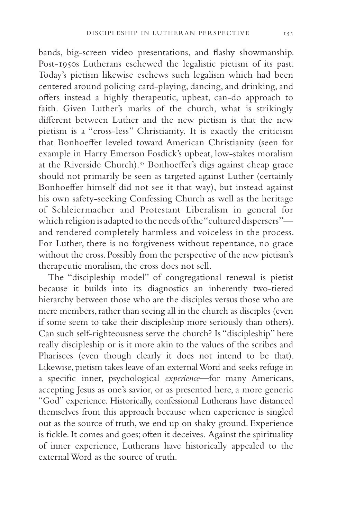bands, big-screen video presentations, and flashy showmanship. Post-1950s Lutherans eschewed the legalistic pietism of its past. Today's pietism likewise eschews such legalism which had been centered around policing card-playing, dancing, and drinking, and offers instead a highly therapeutic, upbeat, can-do approach to faith. Given Luther's marks of the church, what is strikingly different between Luther and the new pietism is that the new pietism is a "cross-less" Christianity. It is exactly the criticism that Bonhoeffer leveled toward American Christianity (seen for example in Harry Emerson Fosdick's upbeat, low-stakes moralism at the Riverside Church).<sup>35</sup> Bonhoeffer's digs against cheap grace should not primarily be seen as targeted against Luther (certainly Bonhoeffer himself did not see it that way), but instead against his own safety-seeking Confessing Church as well as the heritage of Schleiermacher and Protestant Liberalism in general for which religion is adapted to the needs of the "cultured dispersers" and rendered completely harmless and voiceless in the process. For Luther, there is no forgiveness without repentance, no grace without the cross. Possibly from the perspective of the new pietism's therapeutic moralism, the cross does not sell.

The "discipleship model" of congregational renewal is pietist because it builds into its diagnostics an inherently two-tiered hierarchy between those who are the disciples versus those who are mere members, rather than seeing all in the church as disciples (even if some seem to take their discipleship more seriously than others). Can such self-righteousness serve the church? Is "discipleship" here really discipleship or is it more akin to the values of the scribes and Pharisees (even though clearly it does not intend to be that). Likewise, pietism takes leave of an external Word and seeks refuge in a specific inner, psychological *experience*—for many Americans, accepting Jesus as one's savior, or as presented here, a more generic "God" experience. Historically, confessional Lutherans have distanced themselves from this approach because when experience is singled out as the source of truth, we end up on shaky ground. Experience is fickle. It comes and goes; often it deceives. Against the spirituality of inner experience, Lutherans have historically appealed to the external Word as the source of truth.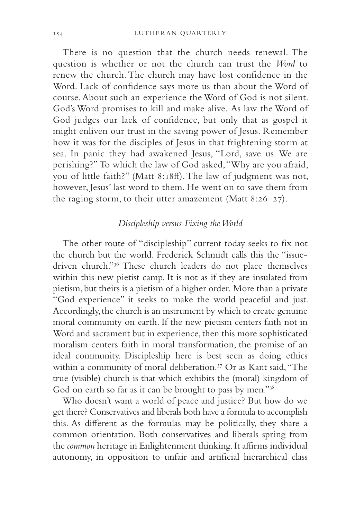There is no question that the church needs renewal. The question is whether or not the church can trust the *Word* to renew the church. The church may have lost confidence in the Word. Lack of confidence says more us than about the Word of course. About such an experience the Word of God is not silent. God's Word promises to kill and make alive. As law the Word of God judges our lack of confidence, but only that as gospel it might enliven our trust in the saving power of Jesus. Remember how it was for the disciples of Jesus in that frightening storm at sea. In panic they had awakened Jesus, "Lord, save us. We are perishing?" To which the law of God asked, "Why are you afraid, you of little faith?" (Matt 8:18ff). The law of judgment was not, however, Jesus' last word to them. He went on to save them from the raging storm, to their utter amazement (Matt 8:26–27).

### *Discipleship versus Fixing the World*

The other route of "discipleship" current today seeks to fix not the church but the world. Frederick Schmidt calls this the "issuedriven church."36 These church leaders do not place themselves within this new pietist camp. It is not as if they are insulated from pietism, but theirs is a pietism of a higher order. More than a private "God experience" it seeks to make the world peaceful and just. Accordingly, the church is an instrument by which to create genuine moral community on earth. If the new pietism centers faith not in Word and sacrament but in experience, then this more sophisticated moralism centers faith in moral transformation, the promise of an ideal community. Discipleship here is best seen as doing ethics within a community of moral deliberation.<sup>37</sup> Or as Kant said, "The true (visible) church is that which exhibits the (moral) kingdom of God on earth so far as it can be brought to pass by men."38

Who doesn't want a world of peace and justice? But how do we get there? Conservatives and liberals both have a formula to accomplish this. As different as the formulas may be politically, they share a common orientation. Both conservatives and liberals spring from the *common* heritage in Enlightenment thinking. It affirms individual autonomy, in opposition to unfair and artificial hierarchical class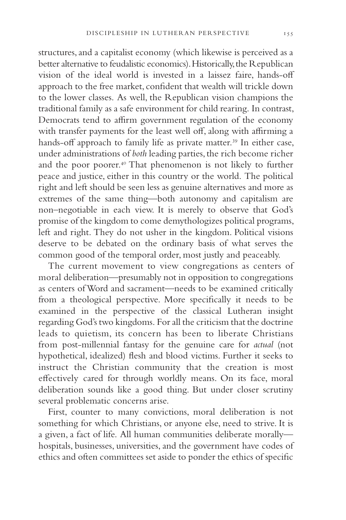structures, and a capitalist economy (which likewise is perceived as a better alternative to feudalistic economics). Historically, the Republican vision of the ideal world is invested in a laissez faire, hands-off approach to the free market, confident that wealth will trickle down to the lower classes. As well, the Republican vision champions the traditional family as a safe environment for child rearing. In contrast, Democrats tend to affirm government regulation of the economy with transfer payments for the least well off, along with affirming a hands-off approach to family life as private matter.<sup>39</sup> In either case, under administrations of *both* leading parties, the rich become richer and the poor poorer.40 That phenomenon is not likely to further peace and justice, either in this country or the world. The political right and left should be seen less as genuine alternatives and more as extremes of the same thing—both autonomy and capitalism are non–negotiable in each view. It is merely to observe that God's promise of the kingdom to come demythologizes political programs, left and right. They do not usher in the kingdom. Political visions deserve to be debated on the ordinary basis of what serves the common good of the temporal order, most justly and peaceably.

The current movement to view congregations as centers of moral deliberation—presumably not in opposition to congregations as centers of Word and sacrament—needs to be examined critically from a theological perspective. More specifically it needs to be examined in the perspective of the classical Lutheran insight regarding God's two kingdoms. For all the criticism that the doctrine leads to quietism, its concern has been to liberate Christians from post-millennial fantasy for the genuine care for *actual* (not hypothetical, idealized) flesh and blood victims. Further it seeks to instruct the Christian community that the creation is most effectively cared for through worldly means. On its face, moral deliberation sounds like a good thing. But under closer scrutiny several problematic concerns arise.

First, counter to many convictions, moral deliberation is not something for which Christians, or anyone else, need to strive. It is a given, a fact of life. All human communities deliberate morally hospitals, businesses, universities, and the government have codes of ethics and often committees set aside to ponder the ethics of specific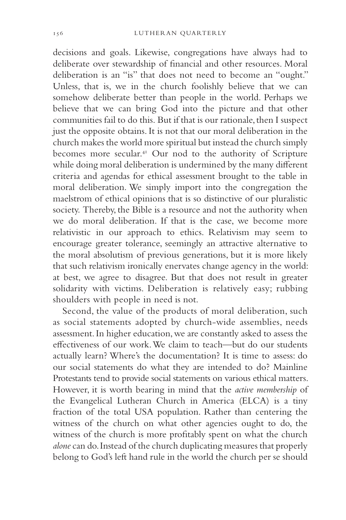decisions and goals. Likewise, congregations have always had to deliberate over stewardship of financial and other resources. Moral deliberation is an "is" that does not need to become an "ought." Unless, that is, we in the church foolishly believe that we can somehow deliberate better than people in the world. Perhaps we believe that we can bring God into the picture and that other communities fail to do this. But if that is our rationale, then I suspect just the opposite obtains. It is not that our moral deliberation in the church makes the world more spiritual but instead the church simply becomes more secular.41 Our nod to the authority of Scripture while doing moral deliberation is undermined by the many different criteria and agendas for ethical assessment brought to the table in moral deliberation. We simply import into the congregation the maelstrom of ethical opinions that is so distinctive of our pluralistic society. Thereby, the Bible is a resource and not the authority when we do moral deliberation. If that is the case, we become more relativistic in our approach to ethics. Relativism may seem to encourage greater tolerance, seemingly an attractive alternative to the moral absolutism of previous generations, but it is more likely that such relativism ironically enervates change agency in the world: at best, we agree to disagree. But that does not result in greater solidarity with victims. Deliberation is relatively easy; rubbing shoulders with people in need is not.

Second, the value of the products of moral deliberation, such as social statements adopted by church-wide assemblies, needs assessment. In higher education, we are constantly asked to assess the effectiveness of our work. We claim to teach—but do our students actually learn? Where's the documentation? It is time to assess: do our social statements do what they are intended to do? Mainline Protestants tend to provide social statements on various ethical matters. However, it is worth bearing in mind that the *active membership* of the Evangelical Lutheran Church in America (ELCA) is a tiny fraction of the total USA population. Rather than centering the witness of the church on what other agencies ought to do, the witness of the church is more profitably spent on what the church *alone* can do. Instead of the church duplicating measures that properly belong to God's left hand rule in the world the church per se should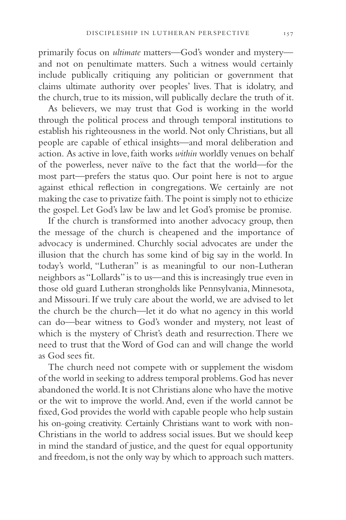primarily focus on *ultimate* matters—God's wonder and mystery and not on penultimate matters. Such a witness would certainly include publically critiquing any politician or government that claims ultimate authority over peoples' lives. That is idolatry, and the church, true to its mission, will publically declare the truth of it.

As believers, we may trust that God is working in the world through the political process and through temporal institutions to establish his righteousness in the world. Not only Christians, but all people are capable of ethical insights—and moral deliberation and action. As active in love, faith works *within* worldly venues on behalf of the powerless, never naïve to the fact that the world—for the most part—prefers the status quo. Our point here is not to argue against ethical reflection in congregations. We certainly are not making the case to privatize faith. The point is simply not to ethicize the gospel. Let God's law be law and let God's promise be promise.

If the church is transformed into another advocacy group, then the message of the church is cheapened and the importance of advocacy is undermined. Churchly social advocates are under the illusion that the church has some kind of big say in the world. In today's world, "Lutheran" is as meaningful to our non-Lutheran neighbors as "Lollards" is to us—and this is increasingly true even in those old guard Lutheran strongholds like Pennsylvania, Minnesota, and Missouri. If we truly care about the world, we are advised to let the church be the church—let it do what no agency in this world can do—bear witness to God's wonder and mystery, not least of which is the mystery of Christ's death and resurrection. There we need to trust that the Word of God can and will change the world as God sees fit.

The church need not compete with or supplement the wisdom of the world in seeking to address temporal problems. God has never abandoned the world. It is not Christians alone who have the motive or the wit to improve the world. And, even if the world cannot be fixed, God provides the world with capable people who help sustain his on-going creativity. Certainly Christians want to work with non-Christians in the world to address social issues. But we should keep in mind the standard of justice, and the quest for equal opportunity and freedom, is not the only way by which to approach such matters.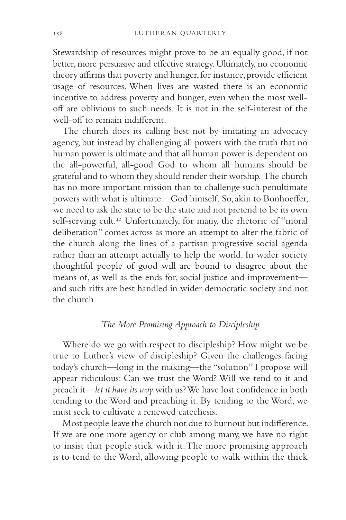Stewardship of resources might prove to be an equally good, if not better, more persuasive and effective strategy. Ultimately, no economic theory affirms that poverty and hunger, for instance, provide efficient usage of resources. When lives are wasted there is an economic incentive to address poverty and hunger, even when the most welloff are oblivious to such needs. It is not in the self-interest of the well-off to remain indifferent.

The church does its calling best not by imitating an advocacy agency, but instead by challenging all powers with the truth that no human power is ultimate and that all human power is dependent on the all-powerful, all-good God to whom all humans should be grateful and to whom they should render their worship. The church has no more important mission than to challenge such penultimate powers with what is ultimate—God himself. So, akin to Bonhoeffer, we need to ask the state to be the state and not pretend to be its own self-serving cult.<sup>42</sup> Unfortunately, for many, the rhetoric of "moral deliberation" comes across as more an attempt to alter the fabric of the church along the lines of a partisan progressive social agenda rather than an attempt actually to help the world. In wider society thoughtful people of good will are bound to disagree about the means of, as well as the ends for, social justice and improvement and such rifts are best handled in wider democratic society and not the church.

# *The More Promising Approach to Discipleship*

Where do we go with respect to discipleship? How might we be true to Luther's view of discipleship? Given the challenges facing today's church—long in the making—the "solution" I propose will appear ridiculous: Can we trust the Word? Will we tend to it and preach it—*let it have its way* with us? We have lost confidence in both tending to the Word and preaching it. By tending to the Word, we must seek to cultivate a renewed catechesis.

Most people leave the church not due to burnout but indifference. If we are one more agency or club among many, we have no right to insist that people stick with it. The more promising approach is to tend to the Word, allowing people to walk within the thick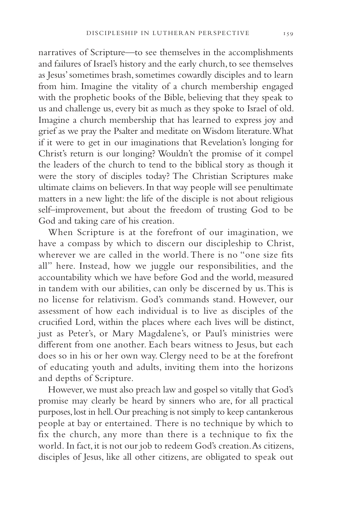narratives of Scripture—to see themselves in the accomplishments and failures of Israel's history and the early church, to see themselves as Jesus' sometimes brash, sometimes cowardly disciples and to learn from him. Imagine the vitality of a church membership engaged with the prophetic books of the Bible, believing that they speak to us and challenge us, every bit as much as they spoke to Israel of old. Imagine a church membership that has learned to express joy and grief as we pray the Psalter and meditate on Wisdom literature. What if it were to get in our imaginations that Revelation's longing for Christ's return is our longing? Wouldn't the promise of it compel the leaders of the church to tend to the biblical story as though it were the story of disciples today? The Christian Scriptures make ultimate claims on believers. In that way people will see penultimate matters in a new light: the life of the disciple is not about religious self–improvement, but about the freedom of trusting God to be God and taking care of his creation.

When Scripture is at the forefront of our imagination, we have a compass by which to discern our discipleship to Christ, wherever we are called in the world. There is no "one size fits all" here. Instead, how we juggle our responsibilities, and the accountability which we have before God and the world, measured in tandem with our abilities, can only be discerned by us. This is no license for relativism. God's commands stand. However, our assessment of how each individual is to live as disciples of the crucified Lord, within the places where each lives will be distinct, just as Peter's, or Mary Magdalene's, or Paul's ministries were different from one another. Each bears witness to Jesus, but each does so in his or her own way. Clergy need to be at the forefront of educating youth and adults, inviting them into the horizons and depths of Scripture.

However, we must also preach law and gospel so vitally that God's promise may clearly be heard by sinners who are, for all practical purposes, lost in hell. Our preaching is not simply to keep cantankerous people at bay or entertained. There is no technique by which to fix the church, any more than there is a technique to fix the world. In fact, it is not our job to redeem God's creation. As citizens, disciples of Jesus, like all other citizens, are obligated to speak out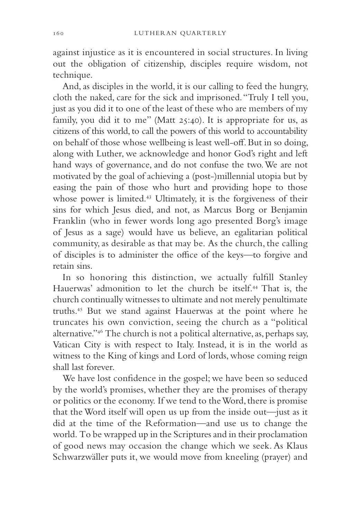against injustice as it is encountered in social structures. In living out the obligation of citizenship, disciples require wisdom, not technique.

And, as disciples in the world, it is our calling to feed the hungry, cloth the naked, care for the sick and imprisoned. "Truly I tell you, just as you did it to one of the least of these who are members of my family, you did it to me" (Matt 25:40). It is appropriate for us, as citizens of this world, to call the powers of this world to accountability on behalf of those whose wellbeing is least well-off. But in so doing, along with Luther, we acknowledge and honor God's right and left hand ways of governance, and do not confuse the two. We are not motivated by the goal of achieving a (post-)millennial utopia but by easing the pain of those who hurt and providing hope to those whose power is limited.<sup>43</sup> Ultimately, it is the forgiveness of their sins for which Jesus died, and not, as Marcus Borg or Benjamin Franklin (who in fewer words long ago presented Borg's image of Jesus as a sage) would have us believe, an egalitarian political community, as desirable as that may be. As the church, the calling of disciples is to administer the office of the keys-to forgive and retain sins.

In so honoring this distinction, we actually fulfill Stanley Hauerwas' admonition to let the church be itself.44 That is, the church continually witnesses to ultimate and not merely penultimate truths.45 But we stand against Hauerwas at the point where he truncates his own conviction, seeing the church as a "political alternative."46 The church is not a political alternative, as, perhaps say, Vatican City is with respect to Italy. Instead, it is in the world as witness to the King of kings and Lord of lords, whose coming reign shall last forever.

We have lost confidence in the gospel; we have been so seduced by the world's promises, whether they are the promises of therapy or politics or the economy. If we tend to the Word, there is promise that the Word itself will open us up from the inside out—just as it did at the time of the Reformation—and use us to change the world. To be wrapped up in the Scriptures and in their proclamation of good news may occasion the change which we seek. As Klaus Schwarzwäller puts it, we would move from kneeling (prayer) and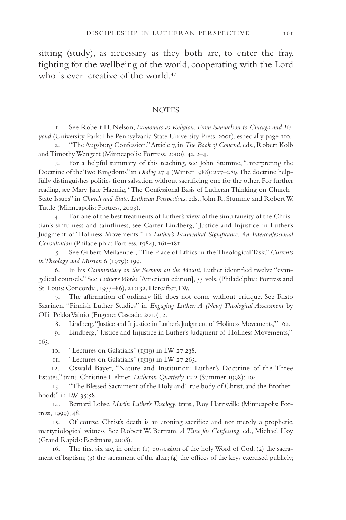sitting (study), as necessary as they both are, to enter the fray, fighting for the wellbeing of the world, cooperating with the Lord who is ever–creative of the world.<sup>47</sup>

#### **NOTES**

1. See Robert H. Nelson, *Economics as Religion: From Samuelson to Chicago and Beyond* (University Park: The Pennsylvania State University Press, 2001), especially page 110.

2. "The Augsburg Confession," Article 7, in *The Book of Concord*, eds., Robert Kolb and Timothy Wengert (Minneapolis: Fortress, 2000), 42.2–4.

3. For a helpful summary of this teaching, see John Stumme, "Interpreting the Doctrine of the Two Kingdoms" in *Dialog* 27:4 (Winter 1988): 277–289. The doctrine helpfully distinguishes politics from salvation without sacrificing one for the other. For further reading, see Mary Jane Haemig, "The Confessional Basis of Lutheran Thinking on Church– State Issues" in *Church and State: Lutheran Perspectives*, eds., John R. Stumme and Robert W. Tuttle (Minneapolis: Fortress, 2003).

4. For one of the best treatments of Luther's view of the simultaneity of the Christian's sinfulness and saintliness, see Carter Lindberg, "Justice and Injustice in Luther's Judgment of 'Holiness Movements'" in *Luther's Ecumenical Significance: An Interconfessional Consultation* (Philadelphia: Fortress, 1984), 161–181.

5. See Gilbert Meilaender, "The Place of Ethics in the Theological Task," *Currents in Theology and Mission* 6 (1979): 199.

6. In his *Commentary on the Sermon on the Mount*, Luther identified twelve "evangelical counsels." See *Luther's Works* [American edition], 55 vols. (Philadelphia: Fortress and St. Louis: Concordia, 1955–86), 21:132. Hereafter, LW.

7. The affirmation of ordinary life does not come without critique. See Risto Saarinen, "Finnish Luther Studies" in *Engaging Luther: A (New) Theological Assessment* by Olli–Pekka Vainio (Eugene: Cascade, 2010), 2.

8. Lindberg, "Justice and Injustice in Luther's Judgment of 'Holiness Movements,'" 162.

9. Lindberg, "Justice and Injustice in Luther's Judgment of 'Holiness Movements,'" 163.

10. "Lectures on Galatians" (1519) in LW 27:238.

11. "Lectures on Galatians" (1519) in LW 27:263.

12. Oswald Bayer, "Nature and Institution: Luther's Doctrine of the Three Estates," trans. Christine Helmer, *Lutheran Quarterly* 12:2 (Summer 1998): 104.

13. "The Blessed Sacrament of the Holy and True body of Christ, and the Brotherhoods" in LW 35:58.

14. Bernard Lohse, *Martin Luther's Theology*, trans., Roy Harrisville (Minneapolis: Fortress, 1999), 48.

15. Of course, Christ's death is an atoning sacrifice and not merely a prophetic, martyriological witness. See Robert W. Bertram, *A Time for Confessing*, ed., Michael Hoy (Grand Rapids: Eerdmans, 2008).

16. The first six are, in order: (1) possession of the holy Word of God; (2) the sacrament of baptism; (3) the sacrament of the altar; (4) the offices of the keys exercised publicly;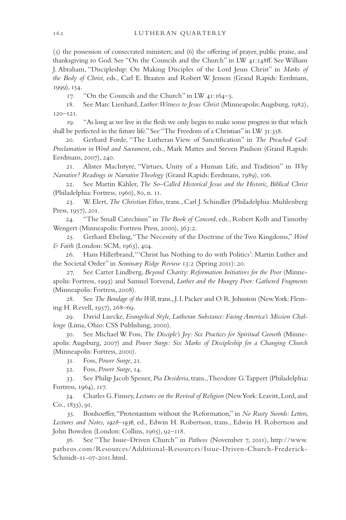$(5)$  the possession of consecrated ministers; and  $(6)$  the offering of prayer, public praise, and thanksgiving to God. See "On the Councils and the Church" in LW  $_{41:148}$   $\rm ff$ . See William J. Abraham, "Discipleship: On Making Disciples of the Lord Jesus Christ" in *Marks of the Body of Christ*, eds., Carl E. Braaten and Robert W. Jenson (Grand Rapids: Eerdmans, 1999), 154.

17. "On the Councils and the Church" in LW 41:164–5.

18. See Marc Lienhard, *Luther: Witness to Jesus Christ* (Minneapolis: Augsburg, 1982), 120–121.

19. "As long as we live in the flesh we only begin to make some progress in that which shall be perfected in the future life." See "The Freedom of a Christian" in LW 31:358.

20. Gerhard Forde, "The Lutheran View of Sanctification" in *The Preached God: Proclamation in Word and Sacrament*, eds., Mark Mattes and Steven Paulson (Grand Rapids: Eerdmans, 2007), 240.

21. Alister MacIntyre, "Virtues, Unity of a Human Life, and Tradition" in *Why Narrative? Readings in Narrative Theology* (Grand Rapids: Eerdmans, 1989), 106.

22. See Martin Kähler, *The So–Called Historical Jesus and the Historic, Biblical Christ* (Philadelphia: Fortress, 1960), 80, n. 11.

23. W. Elert, *The Christian Ethos*, trans., Carl J. Schindler (Philadelphia: Muhlenberg Press, 1957), 201.

24. "The Small Catechism" in *The Book of Concord*, eds., Robert Kolb and Timothy Wengert (Minneapolis: Fortress Press, 2000), 363:2.

25. Gerhard Ebeling, "The Necessity of the Doctrine of the Two Kingdoms," *Word & Faith* (London: SCM, 1963), 404.

26. Hans Hillerbrand, "'Christ has Nothing to do with Politics': Martin Luther and the Societal Order" in *Seminary Ridge Review* 13:2 (Spring 2011): 20.

27. See Carter Lindberg, *Beyond Charity: Reformation Initiatives for the Poor* (Minneapolis: Fortress, 1993) and Samuel Torvend, *Luther and the Hungry Poor: Gathered Fragments* (Minneapolis: Fortress, 2008).

28. See *The Bondage of the Will*, trans., J. I. Packer and O. R. Johnston (New York: Fleming H. Revell, 1957), 268–69.

29. David Luecke, *Evangelical Style, Lutheran Substance: Facing America's Mission Challenge* (Lima, Ohio: CSS Publishing, 2000).

30. See Michael W. Foss, *The Disciple's Joy: Six Practices for Spiritual Growth* (Minneapolis: Augsburg, 2007) and *Power Surge: Six Marks of Discipleship for a Changing Church* (Minneapolis: Fortress, 2000).

31. Foss, *Power Surge*, 21.

32. Foss, *Power Surge*, 14.

33. See Philip Jacob Spener, *Pia Desideria*, trans., Theodore G. Tappert (Philadelphia: Fortress, 1964), 117.

34. Charles G. Finney, *Lectures on the Revival of Religion* (New York: Leavitt, Lord, and Co., 1835), 91.

35. Bonhoeffer, "Protestantism without the Reformation," in *No Rusty Swords: Letters*, *Lectures and Notes, 1928–1936*, ed., Edwin H. Robertson, trans., Edwin H. Robertson and John Bowden (London: Collins, 1965), 92–118.

36. See "The Issue–Driven Church" in *Patheos* (November 7, 2011), http://www. patheos.com/Resources/Additional-Resources/Issue-Driven-Church-Frederick-Schmidt-11-07-2011.html.